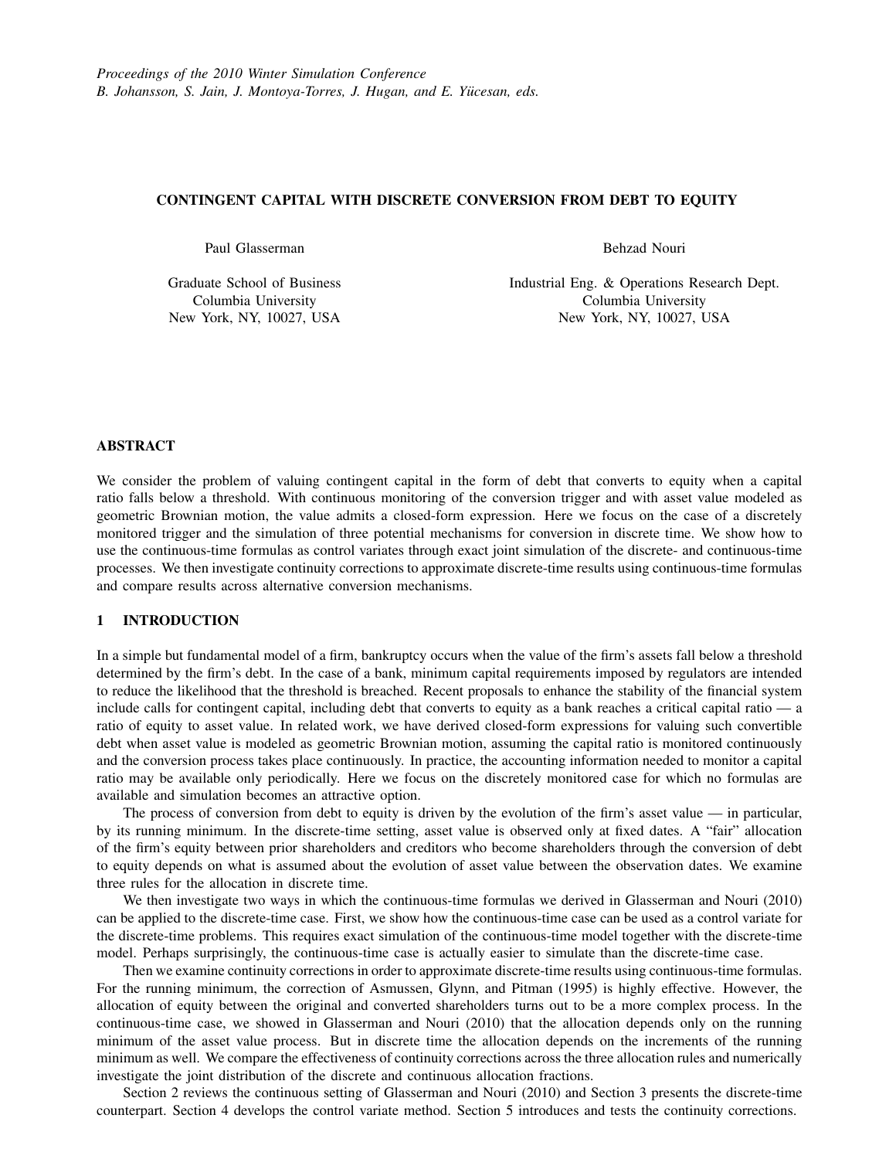### **CONTINGENT CAPITAL WITH DISCRETE CONVERSION FROM DEBT TO EQUITY**

Paul Glasserman

Graduate School of Business Columbia University New York, NY, 10027, USA

Behzad Nouri

Industrial Eng. & Operations Research Dept. Columbia University New York, NY, 10027, USA

## **ABSTRACT**

We consider the problem of valuing contingent capital in the form of debt that converts to equity when a capital ratio falls below a threshold. With continuous monitoring of the conversion trigger and with asset value modeled as geometric Brownian motion, the value admits a closed-form expression. Here we focus on the case of a discretely monitored trigger and the simulation of three potential mechanisms for conversion in discrete time. We show how to use the continuous-time formulas as control variates through exact joint simulation of the discrete- and continuous-time processes. We then investigate continuity corrections to approximate discrete-time results using continuous-time formulas and compare results across alternative conversion mechanisms.

# **1 INTRODUCTION**

In a simple but fundamental model of a firm, bankruptcy occurs when the value of the firm's assets fall below a threshold determined by the firm's debt. In the case of a bank, minimum capital requirements imposed by regulators are intended to reduce the likelihood that the threshold is breached. Recent proposals to enhance the stability of the financial system include calls for contingent capital, including debt that converts to equity as a bank reaches a critical capital ratio — a ratio of equity to asset value. In related work, we have derived closed-form expressions for valuing such convertible debt when asset value is modeled as geometric Brownian motion, assuming the capital ratio is monitored continuously and the conversion process takes place continuously. In practice, the accounting information needed to monitor a capital ratio may be available only periodically. Here we focus on the discretely monitored case for which no formulas are available and simulation becomes an attractive option.

The process of conversion from debt to equity is driven by the evolution of the firm's asset value — in particular, by its running minimum. In the discrete-time setting, asset value is observed only at fixed dates. A "fair" allocation of the firm's equity between prior shareholders and creditors who become shareholders through the conversion of debt to equity depends on what is assumed about the evolution of asset value between the observation dates. We examine three rules for the allocation in discrete time.

We then investigate two ways in which the continuous-time formulas we derived in Glasserman and Nouri (2010) can be applied to the discrete-time case. First, we show how the continuous-time case can be used as a control variate for the discrete-time problems. This requires exact simulation of the continuous-time model together with the discrete-time model. Perhaps surprisingly, the continuous-time case is actually easier to simulate than the discrete-time case.

Then we examine continuity corrections in order to approximate discrete-time results using continuous-time formulas. For the running minimum, the correction of Asmussen, Glynn, and Pitman (1995) is highly effective. However, the allocation of equity between the original and converted shareholders turns out to be a more complex process. In the continuous-time case, we showed in Glasserman and Nouri (2010) that the allocation depends only on the running minimum of the asset value process. But in discrete time the allocation depends on the increments of the running minimum as well. We compare the effectiveness of continuity corrections across the three allocation rules and numerically investigate the joint distribution of the discrete and continuous allocation fractions.

Section 2 reviews the continuous setting of Glasserman and Nouri (2010) and Section 3 presents the discrete-time counterpart. Section 4 develops the control variate method. Section 5 introduces and tests the continuity corrections.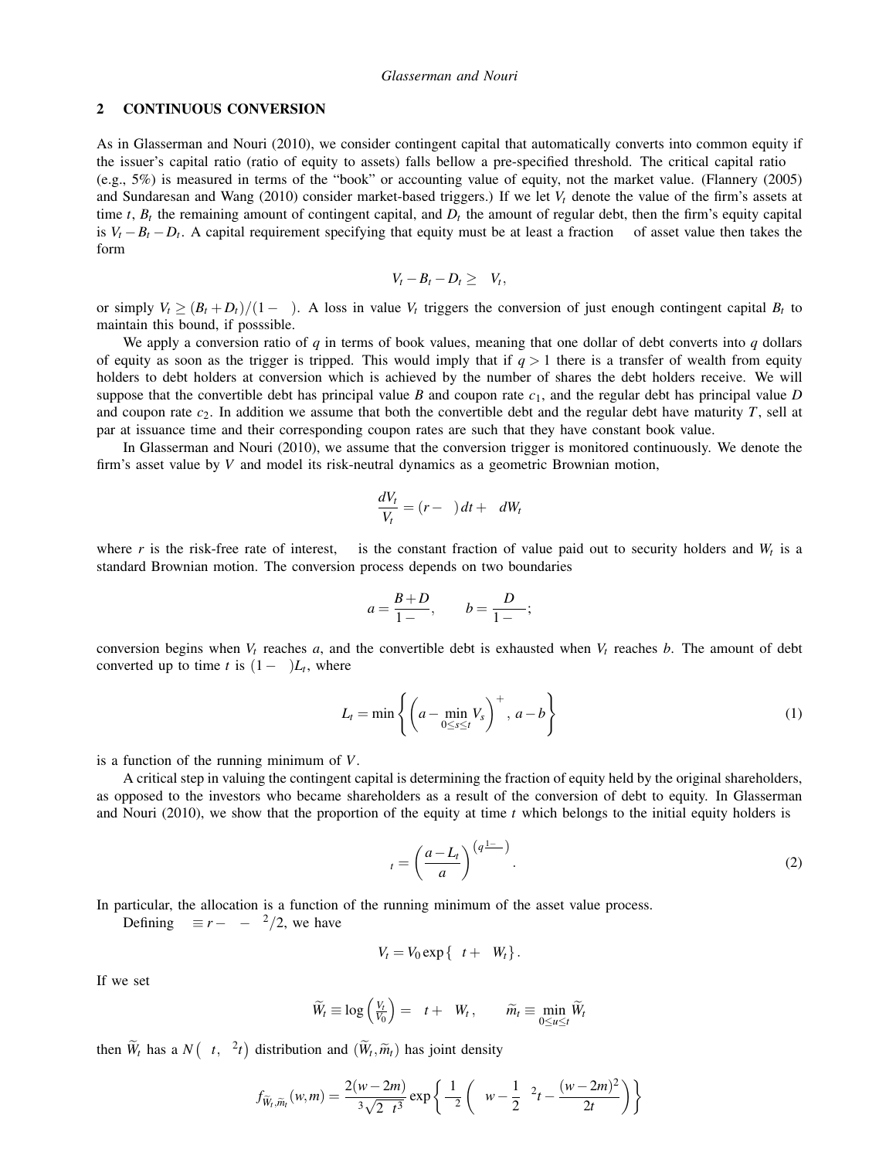### **2 CONTINUOUS CONVERSION**

As in Glasserman and Nouri (2010), we consider contingent capital that automatically converts into common equity if the issuer's capital ratio (ratio of equity to assets) falls bellow a pre-specified threshold. The critical capital ratio  $\alpha$ (e.g., 5%) is measured in terms of the "book" or accounting value of equity, not the market value. (Flannery (2005) and Sundaresan and Wang (2010) consider market-based triggers.) If we let  $V_t$  denote the value of the firm's assets at time  $t$ ,  $B_t$  the remaining amount of contingent capital, and  $D_t$  the amount of regular debt, then the firm's equity capital is  $V_t - B_t - D_t$ . A capital requirement specifying that equity must be at least a fraction  $\alpha$  of asset value then takes the form

$$
V_t-B_t-D_t\geq \alpha V_t,
$$

or simply  $V_t \geq (B_t + D_t)/(1 - \alpha)$ . A loss in value  $V_t$  triggers the conversion of just enough contingent capital  $B_t$  to maintain this bound, if posssible.

We apply a conversion ratio of *q* in terms of book values, meaning that one dollar of debt converts into *q* dollars of equity as soon as the trigger is tripped. This would imply that if  $q > 1$  there is a transfer of wealth from equity holders to debt holders at conversion which is achieved by the number of shares the debt holders receive. We will suppose that the convertible debt has principal value *B* and coupon rate  $c_1$ , and the regular debt has principal value *D* and coupon rate  $c_2$ . In addition we assume that both the convertible debt and the regular debt have maturity *T*, sell at par at issuance time and their corresponding coupon rates are such that they have constant book value.

In Glasserman and Nouri (2010), we assume that the conversion trigger is monitored continuously. We denote the firm's asset value by *V* and model its risk-neutral dynamics as a geometric Brownian motion,

$$
\frac{dV_t}{V_t} = (r - \delta) dt + \sigma dW_t
$$

where *r* is the risk-free rate of interest,  $\delta$  is the constant fraction of value paid out to security holders and  $W_t$  is a standard Brownian motion. The conversion process depends on two boundaries

$$
a = \frac{B+D}{1-\alpha}, \qquad b = \frac{D}{1-\alpha};
$$

conversion begins when  $V_t$  reaches  $a$ , and the convertible debt is exhausted when  $V_t$  reaches  $b$ . The amount of debt converted up to time *t* is  $(1 - \alpha)L_t$ , where

$$
L_t = \min\left\{ \left( a - \min_{0 \le s \le t} V_s \right)^+, \, a - b \right\} \tag{1}
$$

is a function of the running minimum of *V*.

A critical step in valuing the contingent capital is determining the fraction of equity held by the original shareholders, as opposed to the investors who became shareholders as a result of the conversion of debt to equity. In Glasserman and Nouri (2010), we show that the proportion of the equity at time *t* which belongs to the initial equity holders is

$$
\pi_t = \left(\frac{a - L_t}{a}\right)^{\left(q\frac{1 - \alpha}{\alpha}\right)}.
$$
\n(2)

In particular, the allocation is a function of the running minimum of the asset value process.

Defining  $\mu \equiv r - \delta - \sigma^2/2$ , we have

$$
V_t = V_0 \exp \{ \mu t + \sigma W_t \}.
$$

If we set

$$
\widetilde{W}_t \equiv \log\left(\frac{V_t}{V_0}\right) = \mu t + \sigma W_t, \qquad \widetilde{m}_t \equiv \min_{0 \le u \le t} \widetilde{W}_t
$$

then  $\widetilde{W}_t$  has a  $N(\mu t, \sigma^2 t)$  distribution and  $(\widetilde{W}_t, \widetilde{m}_t)$  has joint density

$$
f_{\widetilde{W}_t, \widetilde{m}_t}(w, m) = \frac{2(w - 2m)}{\sigma^3 \sqrt{2\pi t^3}} \exp\left\{\frac{1}{\sigma^2} \left(\mu w - \frac{1}{2}\mu^2 t - \frac{(w - 2m)^2}{2t}\right)\right\}
$$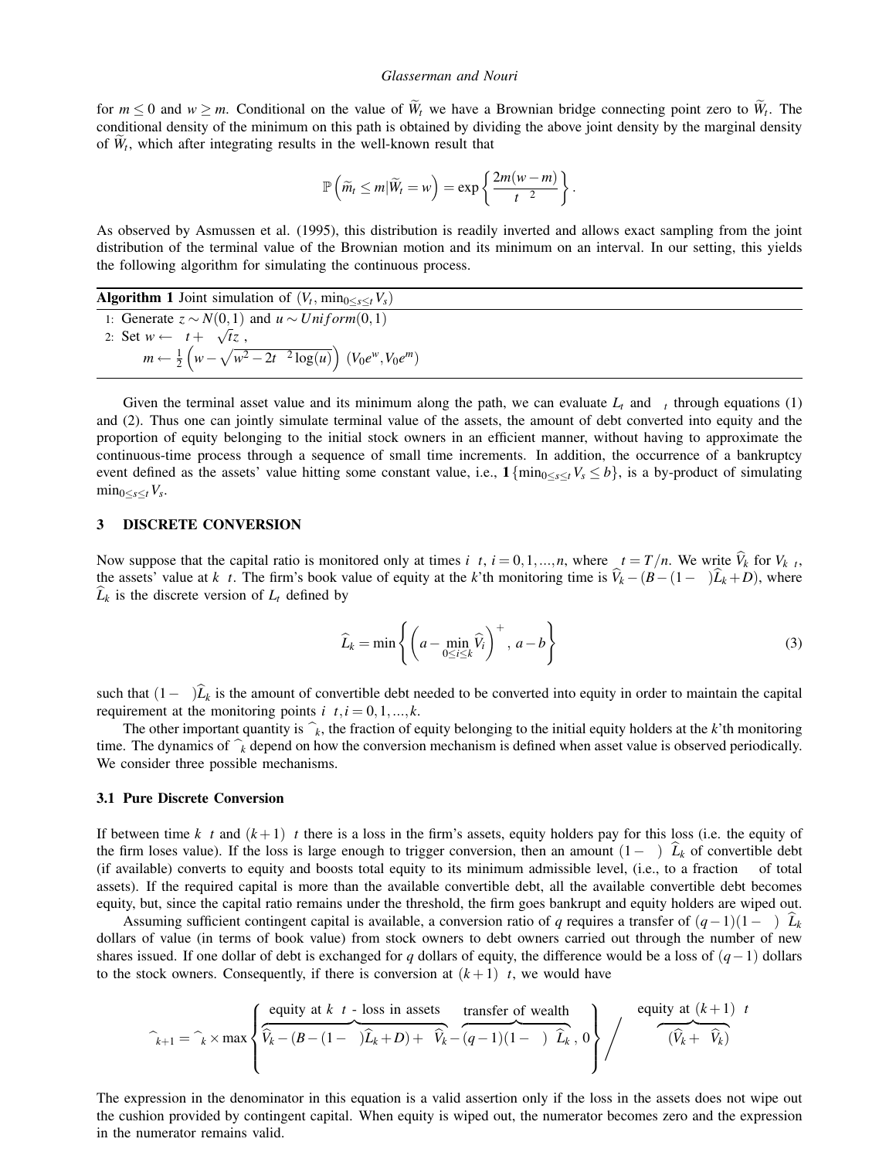for  $m \leq 0$  and  $w \geq m$ . Conditional on the value of  $\widetilde{W}_t$  we have a Brownian bridge connecting point zero to  $\widetilde{W}_t$ . The conditional density of the minimum on this path is obtained by dividing the above joint density by the marginal density of  $\tilde{W}_t$ , which after integrating results in the well-known result that

$$
\mathbb{P}\left(\widetilde{m}_t \leq m|\widetilde{W}_t = w\right) = \exp\left\{\frac{2m(w-m)}{t\sigma^2}\right\}.
$$

As observed by Asmussen et al. (1995), this distribution is readily inverted and allows exact sampling from the joint distribution of the terminal value of the Brownian motion and its minimum on an interval. In our setting, this yields the following algorithm for simulating the continuous process.

**Algorithm 1** Joint simulation of  $(V_t, \min_{0 \leq s \leq t} V_s)$ 1: Generate  $z \sim N(0,1)$  and  $u \sim Uniform(0,1)$ 2: Set  $w \leftarrow \mu t + \sigma \sqrt{t}z$ ,  $m \leftarrow \frac{1}{2} \left( w - \sqrt{w^2 - 2t \sigma^2 \log(u)} \right) \left( V_0 e^w, V_0 e^w \right)$ 

Given the terminal asset value and its minimum along the path, we can evaluate  $L_t$  and  $\pi_t$  through equations (1) and (2). Thus one can jointly simulate terminal value of the assets, the amount of debt converted into equity and the proportion of equity belonging to the initial stock owners in an efficient manner, without having to approximate the continuous-time process through a sequence of small time increments. In addition, the occurrence of a bankruptcy event defined as the assets' value hitting some constant value, i.e.,  $1\{\min_{0\leq s\leq t}V_s\leq b\}$ , is a by-product of simulating  $\min_{0 \leq s \leq t} V_s$ .

# **3 DISCRETE CONVERSION**

Now suppose that the capital ratio is monitored only at times *i*∆*t*, *i* = 0, 1, ..., *n*, where  $\Delta t = T/n$ . We write  $\hat{V}_k$  for  $V_{k\Delta t}$ , the assets' value at *k*∆*t*. The firm's book value of equity at the *k*'th monitoring time is  $\hat{V}_k - (B - (1 - \alpha)\hat{L}_k + D)$ , where  $L_k$  is the discrete version of  $L_t$  defined by

$$
\widehat{L}_k = \min \left\{ \left( a - \min_{0 \le i \le k} \widehat{V}_i \right)^+, \, a - b \right\} \tag{3}
$$

such that  $(1-\alpha)\hat{L}_k$  is the amount of convertible debt needed to be converted into equity in order to maintain the capital requirement at the monitoring points  $i\Delta t$ ,  $i = 0, 1, \dots, k$ .

The other important quantity is  $\hat{\pi}_k$ , the fraction of equity belonging to the initial equity holders at the *k*'th monitoring time. The dynamics of  $\hat{\pi}_k$  depend on how the conversion mechanism is defined when asset value is observed periodically. We consider three possible mechanisms.

#### **3.1 Pure Discrete Conversion**

If between time  $k\Delta t$  and  $(k+1)\Delta t$  there is a loss in the firm's assets, equity holders pay for this loss (i.e. the equity of the firm loses value). If the loss is large enough to trigger conversion, then an amount  $(1-\alpha)\Delta L_k$  of convertible debt (if available) converts to equity and boosts total equity to its minimum admissible level, (i.e., to a fraction  $\alpha$  of total assets). If the required capital is more than the available convertible debt, all the available convertible debt becomes equity, but, since the capital ratio remains under the threshold, the firm goes bankrupt and equity holders are wiped out.

Assuming sufficient contingent capital is available, a conversion ratio of *q* requires a transfer of  $(q-1)(1-\alpha)\Delta L_k$ dollars of value (in terms of book value) from stock owners to debt owners carried out through the number of new shares issued. If one dollar of debt is exchanged for *q* dollars of equity, the difference would be a loss of (*q*−1) dollars to the stock owners. Consequently, if there is conversion at  $(k+1)\Delta t$ , we would have

$$
\widehat{\pi}_{k+1} = \widehat{\pi}_k \times \max \left\{ \overbrace{\widehat{V}_k - (B - (1 - \alpha)\widehat{L}_k + D) + \Delta \widehat{V}_k - (q - 1)(1 - \alpha)\Delta \widehat{L}_k}^{\text{transfer of wealth}}, 0 \right\} / \overbrace{\text{equity at } (k+1)\Delta t}_{\alpha(\widehat{V}_k + \Delta \widehat{V}_k)}
$$

The expression in the denominator in this equation is a valid assertion only if the loss in the assets does not wipe out the cushion provided by contingent capital. When equity is wiped out, the numerator becomes zero and the expression in the numerator remains valid.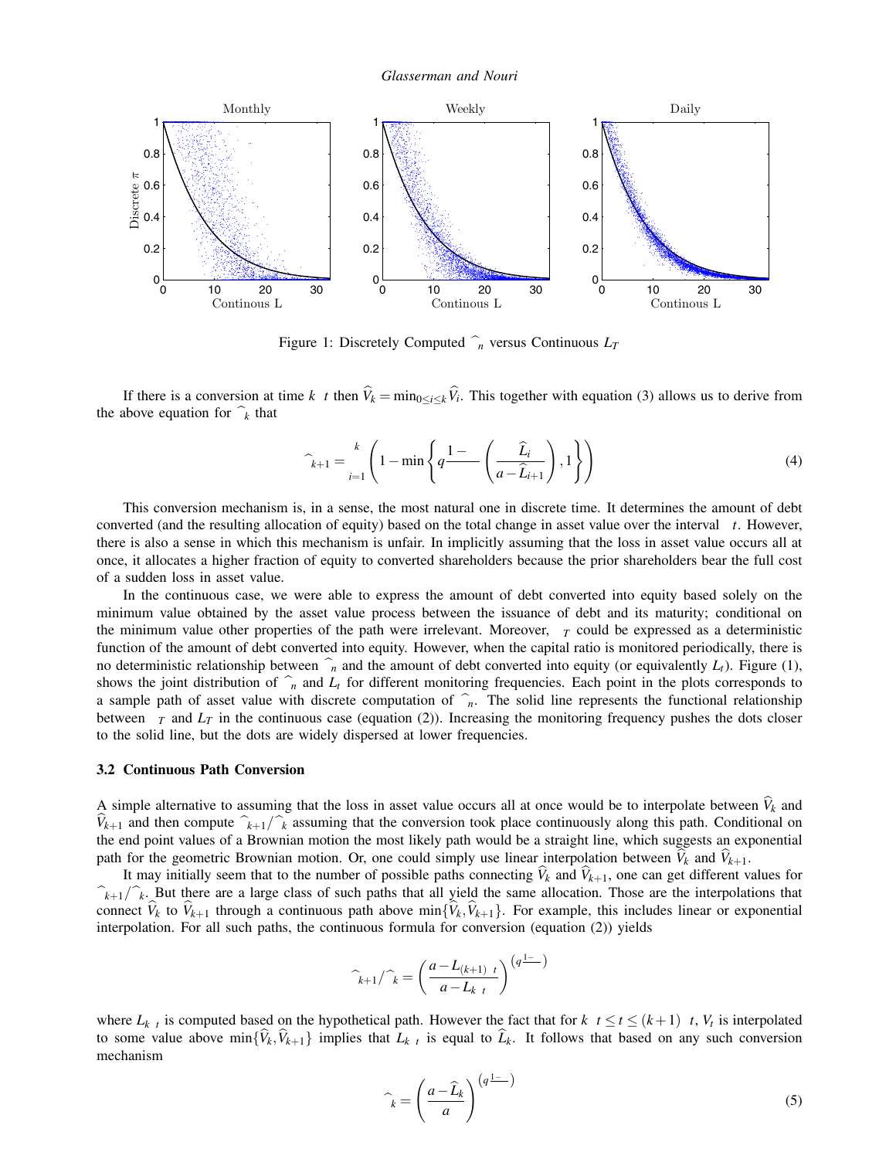

Figure 1: Discretely Computed  $\hat{\pi}_n$  versus Continuous  $L_T$ 

If there is a conversion at time  $k\Delta t$  then  $\hat{V}_k = \min_{0 \le i \le k} \hat{V}_i$ . This together with equation (3) allows us to derive from the above equation for  $\widehat{\pi}_k$  that

$$
\widehat{\pi}_{k+1} = \prod_{i=1}^{k} \left( 1 - \min \left\{ q \frac{1 - \alpha}{\alpha} \left( \frac{\Delta \widehat{L}_i}{a - \widehat{L}_{i+1}} \right), 1 \right\} \right) \tag{4}
$$

This conversion mechanism is, in a sense, the most natural one in discrete time. It determines the amount of debt converted (and the resulting allocation of equity) based on the total change in asset value over the interval ∆*t*. However, there is also a sense in which this mechanism is unfair. In implicitly assuming that the loss in asset value occurs all at once, it allocates a higher fraction of equity to converted shareholders because the prior shareholders bear the full cost of a sudden loss in asset value.

In the continuous case, we were able to express the amount of debt converted into equity based solely on the minimum value obtained by the asset value process between the issuance of debt and its maturity; conditional on the minimum value other properties of the path were irrelevant. Moreover,  $\pi<sub>T</sub>$  could be expressed as a deterministic function of the amount of debt converted into equity. However, when the capital ratio is monitored periodically, there is no deterministic relationship between  $\hat{\pi}_n$  and the amount of debt converted into equity (or equivalently  $L_t$ ). Figure (1), shows the joint distribution of  $\hat{\pi}_n$  and  $L_t$  for different monitoring frequencies. Each point in the plots corresponds to a sample path of asset value with discrete computation of  $\hat{\pi}_n$ . The solid line represents the functional relationship between  $\pi_T$  and  $L_T$  in the continuous case (equation (2)). Increasing the monitoring frequency pushes the dots closer to the solid line, but the dots are widely dispersed at lower frequencies.

## **3.2 Continuous Path Conversion**

A simple alternative to assuming that the loss in asset value occurs all at once would be to interpolate between  $\hat{V}_k$  and  $V_{k+1}$  and then compute  $\hat{\pi}_{k+1}/\hat{\pi}_k$  assuming that the conversion took place continuously along this path. Conditional on the end point values of a Brownian motion the most likely path would be a straight line, which suggests an exponential path for the geometric Brownian motion. Or, one could simply use linear interpolation between  $V_k$  and  $V_{k+1}$ .

It may initially seem that to the number of possible paths connecting  $\hat{V}_k$  and  $\hat{V}_{k+1}$ , one can get different values for  $\hat{\pi}_{k+1}/\hat{\pi}_k$ . But there are a large class of such paths that all yield the same allocation. Those are the interpolations that connect  $\hat{V}_k$  to  $\hat{V}_{k+1}$  through a continuous path above min $\{\hat{V}_k, \hat{V}_{k+1}\}\$ . For example, this includes linear or exponential interpolation. For all such paths, the continuous formula for conversion (equation (2)) yields

$$
\widehat{\pi}_{k+1}/\widehat{\pi}_k = \left(\frac{a - L_{(k+1)\Delta t}}{a - L_{k\Delta t}}\right)^{\left(q\frac{1-\alpha}{\alpha}\right)}
$$

where  $L_{k\Delta t}$  is computed based on the hypothetical path. However the fact that for  $k\Delta t \le t \le (k+1)\Delta t$ ,  $V_t$  is interpolated to some value above min $\{\hat{V}_k, \hat{V}_{k+1}\}$  implies that  $L_{k\Delta t}$  is equal to  $\hat{L}_k$ . It follows that based on any such conversion mechanism

$$
\widehat{\pi}_k = \left(\frac{a - \widehat{L}_k}{a}\right)^{\left(q\frac{1-\alpha}{\alpha}\right)}\tag{5}
$$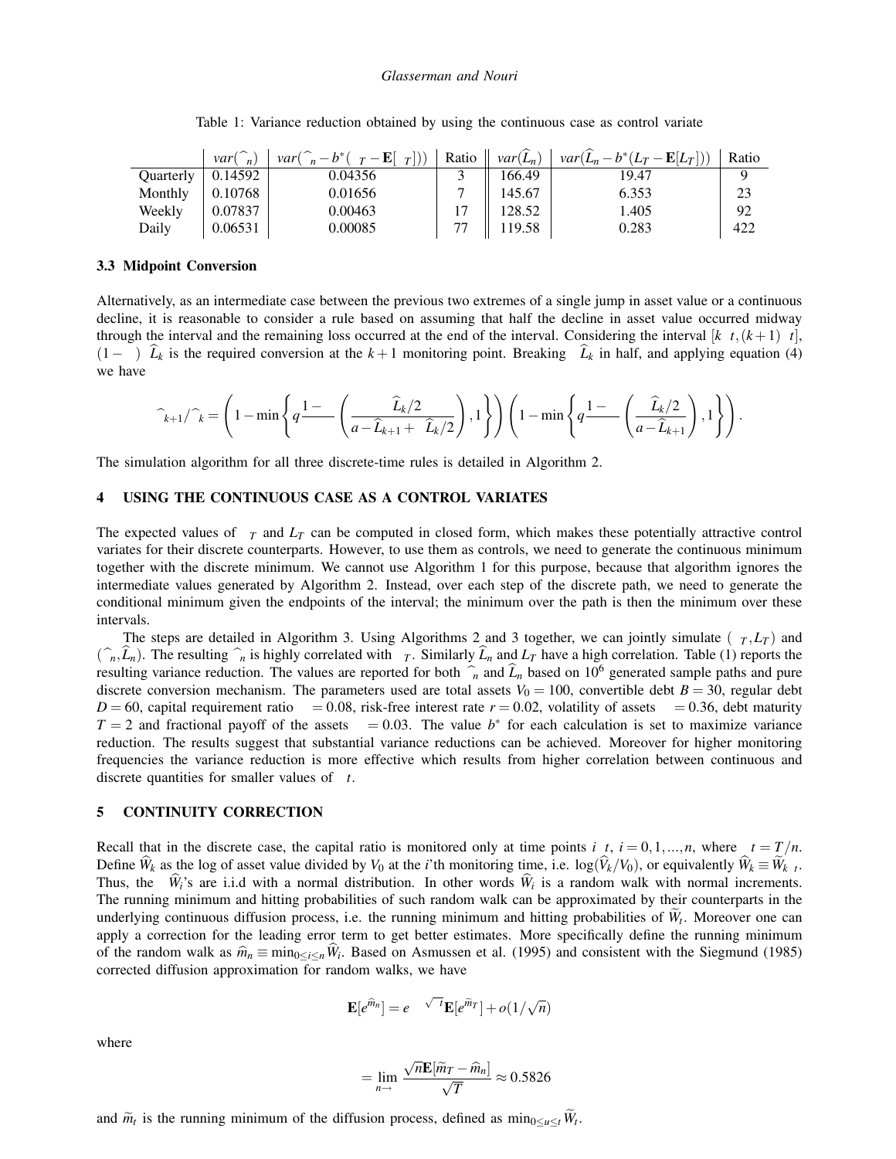|                  | $var(\widehat{\pi}_n)$ | $var(\widehat{\pi}_n - b^*(\pi_T - \mathbf{E}[\pi_T]))$ |        | Ratio $\parallel var(\widehat{L}_n) \parallel var(\widehat{L}_n - b^*(L_T - \mathbf{E}[L_T])) \parallel$ | Ratio    |
|------------------|------------------------|---------------------------------------------------------|--------|----------------------------------------------------------------------------------------------------------|----------|
| <b>Ouarterly</b> | 0.14592                | 0.04356                                                 | 166.49 | 19.47                                                                                                    | $\Omega$ |
| Monthly          | 0.10768                | 0.01656                                                 | 145.67 | 6.353                                                                                                    | 23       |
| Weekly           | 0.07837                | 0.00463                                                 | 128.52 | 1.405                                                                                                    | 92       |
| Daily            | 0.06531                | 0.00085                                                 | 119.58 | 0.283                                                                                                    | 422      |

Table 1: Variance reduction obtained by using the continuous case as control variate

## **3.3 Midpoint Conversion**

Alternatively, as an intermediate case between the previous two extremes of a single jump in asset value or a continuous decline, it is reasonable to consider a rule based on assuming that half the decline in asset value occurred midway through the interval and the remaining loss occurred at the end of the interval. Considering the interval  $[k\Delta t, (k+1)\Delta t]$ ,  $(1-\alpha)\Delta\hat{L}_k$  is the required conversion at the  $k+1$  monitoring point. Breaking  $\Delta\hat{L}_k$  in half, and applying equation (4) we have

$$
\widehat{\pi}_{k+1}/\widehat{\pi}_k = \left(1 - \min\left\{q\frac{1-\alpha}{\alpha}\left(\frac{\Delta\widehat{L}_k/2}{a-\widehat{L}_{k+1}+\Delta\widehat{L}_k/2}\right), 1\right\}\right)\left(1 - \min\left\{q\frac{1-\alpha}{\alpha}\left(\frac{\Delta\widehat{L}_k/2}{a-\widehat{L}_{k+1}}\right), 1\right\}\right).
$$

The simulation algorithm for all three discrete-time rules is detailed in Algorithm 2.

## **4 USING THE CONTINUOUS CASE AS A CONTROL VARIATES**

The expected values of  $\pi_T$  and  $L_T$  can be computed in closed form, which makes these potentially attractive control variates for their discrete counterparts. However, to use them as controls, we need to generate the continuous minimum together with the discrete minimum. We cannot use Algorithm 1 for this purpose, because that algorithm ignores the intermediate values generated by Algorithm 2. Instead, over each step of the discrete path, we need to generate the conditional minimum given the endpoints of the interval; the minimum over the path is then the minimum over these intervals.

The steps are detailed in Algorithm 3. Using Algorithms 2 and 3 together, we can jointly simulate  $(\pi_T, L_T)$  and  $(\hat{\pi}_n, \hat{L}_n)$ . The resulting  $\hat{\pi}_n$  is highly correlated with  $\pi_T$ . Similarly  $\hat{L}_n$  and  $L_T$  have a high correlation. Table (1) reports the resulting variance reduction. The values are reported for both  $\widehat{\pi}_n$  and  $L_n$  based on 10<sup>6</sup> generated sample paths and pure discrete conversion mechanism. The parameters used are total assets  $V_0 = 100$ , convertible debt  $B = 30$ , regular debt  $D = 60$ , capital requirement ratio  $\alpha = 0.08$ , risk-free interest rate  $r = 0.02$ , volatility of assets  $\sigma = 0.36$ , debt maturity  $T = 2$  and fractional payoff of the assets  $\delta = 0.03$ . The value *b*<sup>∗</sup> for each calculation is set to maximize variance reduction. The results suggest that substantial variance reductions can be achieved. Moreover for higher monitoring frequencies the variance reduction is more effective which results from higher correlation between continuous and discrete quantities for smaller values of ∆*t*.

# **5 CONTINUITY CORRECTION**

Recall that in the discrete case, the capital ratio is monitored only at time points *i*∆*t*, *i* = 0,1,...,*n*, where  $\Delta t = T/n$ . Define  $\hat{W}_k$  as the log of asset value divided by  $V_0$  at the *i*'th monitoring time, i.e. log( $\hat{V}_k/V_0$ ), or equivalently  $\hat{W}_k \equiv \hat{W}_{k\Delta t}$ . Thus, the  $\Delta W_i$ 's are i.i.d with a normal distribution. In other words  $\hat{W}_i$  is a random walk with normal increments. The running minimum and hitting probabilities of such random walk can be approximated by their counterparts in the underlying continuous diffusion process, i.e. the running minimum and hitting probabilities of  $\tilde{W}_t$ . Moreover one can apply a correction for the leading error term to get better estimates. More specifically define the running minimum of the random walk as  $\hat{m}_n \equiv \min_{0 \le i \le n} W_i$ . Based on Asmussen et al. (1995) and consistent with the Siegmund (1985) corrected diffusion approximation for random walks, we have

$$
\mathbf{E}[e^{\hat{m}_n}] = e^{\beta \sigma \sqrt{\Delta t}} \mathbf{E}[e^{\tilde{m}_T}] + o(1/\sqrt{n})
$$

where

$$
\beta = \lim_{n \to \infty} \frac{\sqrt{n} \mathbf{E}[\widetilde{m}_T - \widehat{m}_n]}{\sigma \sqrt{T}} \approx 0.5826
$$

and  $\widetilde{m}_t$  is the running minimum of the diffusion process, defined as  $\min_{0 \le u \le t} \widetilde{W}_t$ .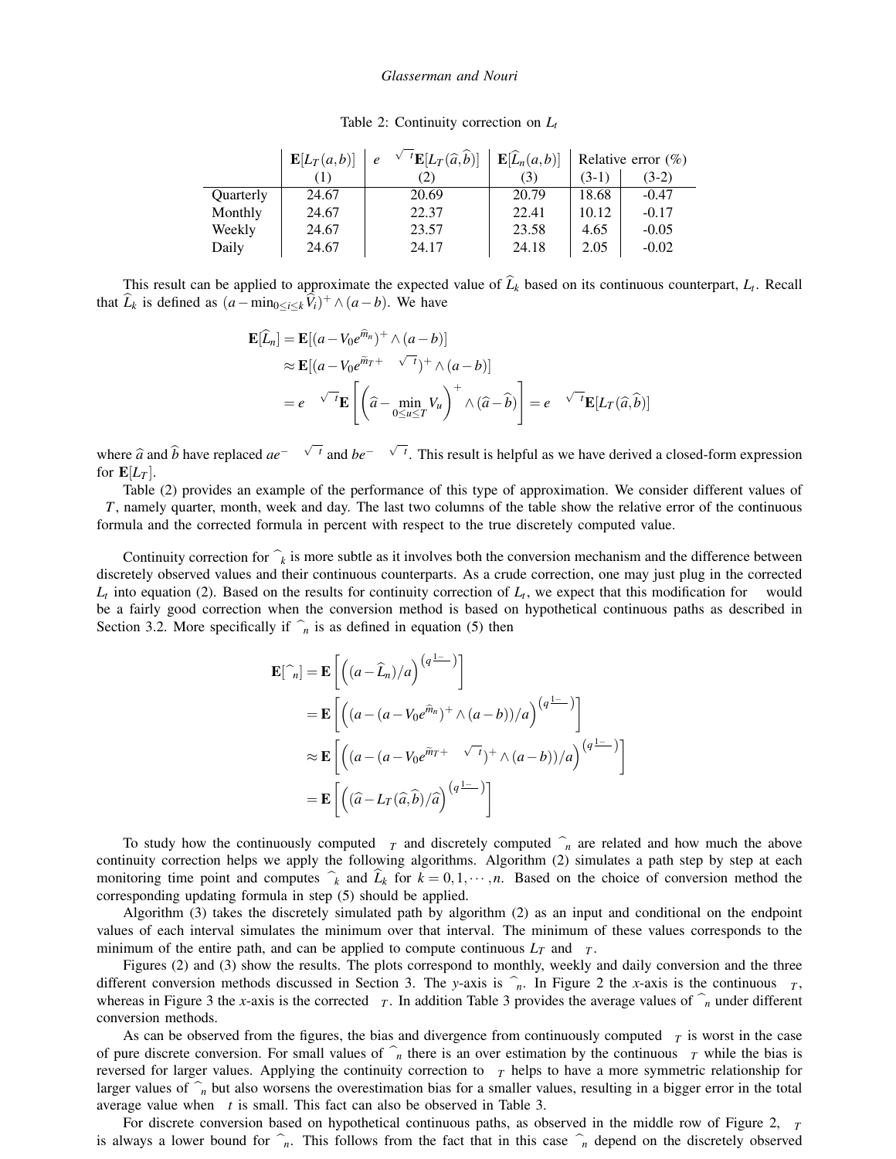|           | $\mathbf{E}[L_T(a,b)]$ | $e^{\beta \sigma \sqrt{\Delta t}} \mathbf{E}[L_T(\widehat{a}, \widehat{b})] \mid \mathbf{E}[\widehat{L}_n(a, b)]$ |       | Relative error $(\%)$ |         |
|-----------|------------------------|-------------------------------------------------------------------------------------------------------------------|-------|-----------------------|---------|
|           | (1)                    | (2)                                                                                                               | (3)   | $(3-1)$               | $(3-2)$ |
| Quarterly | 24.67                  | 20.69                                                                                                             | 20.79 | 18.68                 | $-0.47$ |
| Monthly   | 24.67                  | 22.37                                                                                                             | 22.41 | 10.12                 | $-0.17$ |
| Weekly    | 24.67                  | 23.57                                                                                                             | 23.58 | 4.65                  | $-0.05$ |
| Daily     | 24.67                  | 24.17                                                                                                             | 24.18 | 2.05                  | $-0.02$ |

Table 2: Continuity correction on *Lt*

This result can be applied to approximate the expected value of  $\hat{L}_k$  based on its continuous counterpart,  $L_t$ . Recall that  $\hat{L}_k$  is defined as  $(a - \min_{0 \le i \le k} \hat{V}_i)^+ \wedge (a - b)$ . We have

$$
\mathbf{E}[\widehat{L}_n] = \mathbf{E}[(a - V_0 e^{\widehat{m}_n})^+ \wedge (a - b)]
$$
  
\n
$$
\approx \mathbf{E}[(a - V_0 e^{\widehat{m}_T + \beta \sigma \sqrt{\Delta t}})^+ \wedge (a - b)]
$$
  
\n
$$
= e^{\beta \sigma \sqrt{\Delta t}} \mathbf{E} \left[ \left( \widehat{a} - \min_{0 \le u \le T} V_u \right)^+ \wedge (\widehat{a} - \widehat{b}) \right] = e^{\beta \sigma \sqrt{\Delta t}} \mathbf{E}[L_T(\widehat{a}, \widehat{b})]
$$

where  $\hat{a}$  and  $\hat{b}$  have replaced  $ae^{-\beta \sigma \sqrt{\Delta t}}$  and  $be^{-\beta \sigma \sqrt{\Delta t}}$ . This result is helpful as we have derived a closed-form expression for  $\mathbf{E}[L_T]$ .

Table (2) provides an example of the performance of this type of approximation. We consider different values of ∆*T*, namely quarter, month, week and day. The last two columns of the table show the relative error of the continuous formula and the corrected formula in percent with respect to the true discretely computed value.

Continuity correction for  $\hat{\pi}_k$  is more subtle as it involves both the conversion mechanism and the difference between discretely observed values and their continuous counterparts. As a crude correction, one may just plug in the corrected  $L_t$  into equation (2). Based on the results for continuity correction of  $L_t$ , we expect that this modification for π would be a fairly good correction when the conversion method is based on hypothetical continuous paths as described in Section 3.2. More specifically if  $\hat{\pi}_n$  is as defined in equation (5) then

$$
\mathbf{E}[\hat{\pi}_n] = \mathbf{E}\left[\left((a-\hat{L}_n)/a\right)^{(q\frac{1-\alpha}{\alpha})}\right]
$$
  
\n
$$
= \mathbf{E}\left[\left((a - (a - V_0 e^{\hat{m}_n})^+ \wedge (a - b))/a\right)^{(q\frac{1-\alpha}{\alpha})}\right]
$$
  
\n
$$
\approx \mathbf{E}\left[\left((a - (a - V_0 e^{\hat{m}_T + \beta \sigma \sqrt{\Delta t}})^+ \wedge (a - b))/a\right)^{(q\frac{1-\alpha}{\alpha})}\right]
$$
  
\n
$$
= \mathbf{E}\left[\left((\hat{a} - L_T(\hat{a}, \hat{b})/\hat{a}\right)^{(q\frac{1-\alpha}{\alpha})}\right]
$$

To study how the continuously computed  $\pi$ <sup>*T*</sup> and discretely computed  $\hat{\pi}$ <sup>*n*</sup> are related and how much the above continuity correction helps we apply the following algorithms. Algorithm (2) simulates a path step by step at each monitoring time point and computes  $\hat{\pi}_k$  and  $\hat{L}_k$  for  $k = 0, 1, \dots, n$ . Based on the choice of conversion method the corresponding updating formula in step (5) should be applied.

Algorithm (3) takes the discretely simulated path by algorithm (2) as an input and conditional on the endpoint values of each interval simulates the minimum over that interval. The minimum of these values corresponds to the minimum of the entire path, and can be applied to compute continuous  $L_T$  and  $\pi_T$ .

Figures (2) and (3) show the results. The plots correspond to monthly, weekly and daily conversion and the three different conversion methods discussed in Section 3. The *y*-axis is  $\hat{\pi}_n$ . In Figure 2 the *x*-axis is the continuous  $\pi_T$ , whereas in Figure 3 the *x*-axis is the corrected  $\pi$ . In addition Table 3 provides the average values of  $\hat{\pi}_n$  under different conversion methods.

As can be observed from the figures, the bias and divergence from continuously computed  $\pi_T$  is worst in the case of pure discrete conversion. For small values of  $\hat{\pi}_n$  there is an over estimation by the continuous  $\pi_T$  while the bias is reversed for larger values. Applying the continuity correction to  $\pi_T$  helps to have a more symmetric relationship for larger values of  $\hat{\pi}_n$  but also worsens the overestimation bias for a smaller values, resulting in a bigger error in the total average value when ∆*t* is small. This fact can also be observed in Table 3.

For discrete conversion based on hypothetical continuous paths, as observed in the middle row of Figure 2,  $\pi_T$ is always a lower bound for  $\hat{\pi}_n$ . This follows from the fact that in this case  $\hat{\pi}_n$  depend on the discretely observed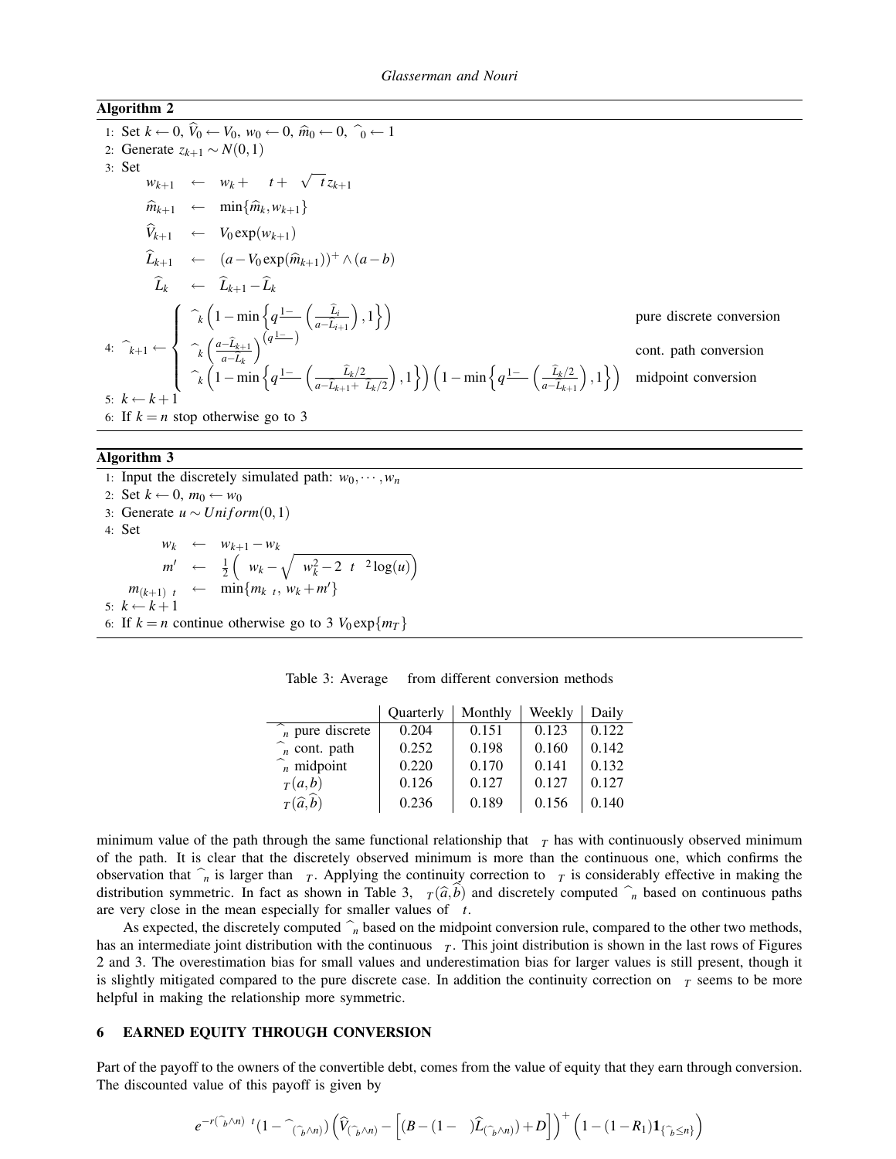## **Algorithm 2**

1: Set  $k \leftarrow 0$ ,  $\hat{V}_0 \leftarrow V_0$ ,  $w_0 \leftarrow 0$ ,  $\hat{m}_0 \leftarrow 0$ ,  $\hat{\pi}_0 \leftarrow 1$ 2: Generate *zk*+<sup>1</sup> ∼ *N*(0,1) 3: Set  $w_{k+1}$  ←  $w_k + \mu \Delta t + \sigma \sqrt{\Delta t} z_{k+1}$  $\hat{m}_{k+1} \leftarrow \min\{\hat{m}_k, w_{k+1}\}$  $\widehat{V}_{k+1} \leftarrow V_0 \exp(w_{k+1})$  $\widehat{L}_{k+1} \leftarrow (a - V_0 \exp(\widehat{m}_{k+1}))^+ \wedge (a - b)$  $\Delta \widehat{L}_k$  ←  $\widehat{L}_{k+1} - \widehat{L}_k$ 4:  $\pi_{k+1} \leftarrow$  $\sqrt{ }$  $\Big\}$  $\overline{\mathcal{L}}$  $\pi_k$  $\left(1-\min\left\{q\frac{1-\alpha}{\alpha}\left(\frac{\Delta\widehat{L}_i}{a-\widehat{L}_i}\right)\right\}\right)$  $a−L$ <sup>*i*+1</sup>  $\vert$ ,1}) pure discrete conversion  $\pi_k$  $\int$ *a*− $\hat{L}_{k+1}$ *a*−*L*b*<sup>k</sup>*  $\int_{0}^{(q\frac{1-\alpha}{\alpha})}$  cont. path conversion  $\pi_k$  $\left(1-\min\left\{q\frac{1-\alpha}{\alpha}\left(\frac{\Delta\widehat{L}_k}{a-\widehat{L}_{k+1}+\Delta}\right)\right\}\right)$  $a - L_{k+1} + \Delta L_k/2$  $\left(1-\min\left\{q\frac{1-\alpha}{\alpha}\left(\frac{\Delta\widehat{L}_k}{a-\widehat{L}_{k+1}}\right)\right\}\right)$  $a−L$ <sub>k+1</sub>  $),1$ midpoint conversion 5:  $k \leftarrow k+1$ 6: If  $k = n$  stop otherwise go to 3

# **Algorithm 3**

1: Input the discretely simulated path:  $w_0, \dots, w_n$ 2: Set  $k \leftarrow 0$ ,  $m_0 \leftarrow w_0$ 3: Generate *u* ∼ *Uniform*(0,1) 4: Set ∆*wk* ← *wk*+<sup>1</sup> −*wk*  $m' \leftarrow \frac{1}{2} \left( \Delta w_k - \sqrt{\Delta w_k^2 - 2\Delta t \sigma^2 \log(u)} \right)$  $m_{(k+1)\Delta t} \leftarrow \min\{m_{k\Delta t}, w_k + m'\}$ 5:  $k \leftarrow k+1$ 6: If  $k = n$  continue otherwise go to 3  $V_0 \exp\{m \}$ 

Table 3: Average  $\pi$  from different conversion methods

| Ouarterly | Monthly | Weekly | Daily |
|-----------|---------|--------|-------|
| 0.204     | 0.151   | 0.123  | 0.122 |
| 0.252     | 0.198   | 0.160  | 0.142 |
| 0.220     | 0.170   | 0.141  | 0.132 |
| 0.126     | 0.127   | 0.127  | 0.127 |
| 0.236     | 0.189   | 0.156  | 0.140 |
|           |         |        |       |

minimum value of the path through the same functional relationship that  $\pi_T$  has with continuously observed minimum of the path. It is clear that the discretely observed minimum is more than the continuous one, which confirms the observation that  $\hat{\pi}_n$  is larger than  $\pi_T$ . Applying the continuity correction to  $\pi_T$  is considerably effective in making the distribution symmetric. In fact as shown in Table 3,  $\pi_T(\hat{a}, b)$  and discretely computed  $\hat{\pi}_n$  based on continuous paths are very close in the mean especially for smaller values of ∆*t*.

As expected, the discretely computed  $\hat{\pi}_n$  based on the midpoint conversion rule, compared to the other two methods, has an intermediate joint distribution with the continuous  $\pi<sub>T</sub>$ . This joint distribution is shown in the last rows of Figures 2 and 3. The overestimation bias for small values and underestimation bias for larger values is still present, though it is slightly mitigated compared to the pure discrete case. In addition the continuity correction on  $\pi<sub>T</sub>$  seems to be more helpful in making the relationship more symmetric.

### **6 EARNED EQUITY THROUGH CONVERSION**

Part of the payoff to the owners of the convertible debt, comes from the value of equity that they earn through conversion. The discounted value of this payoff is given by

$$
e^{-r(\widehat{\tau}_{b}\wedge n)\Delta t}(1-\widehat{\pi}_{(\widehat{\tau}_{b}\wedge n)})\left(\widehat{V}_{(\widehat{\tau}_{b}\wedge n)} - \left[(B - (1-\alpha)\widehat{L}_{(\widehat{\tau}_{b}\wedge n)}) + D\right]\right)^{+} \left(1 - (1-R_{1})\mathbf{1}_{\{\widehat{\tau}_{b}\leq n\}}\right)
$$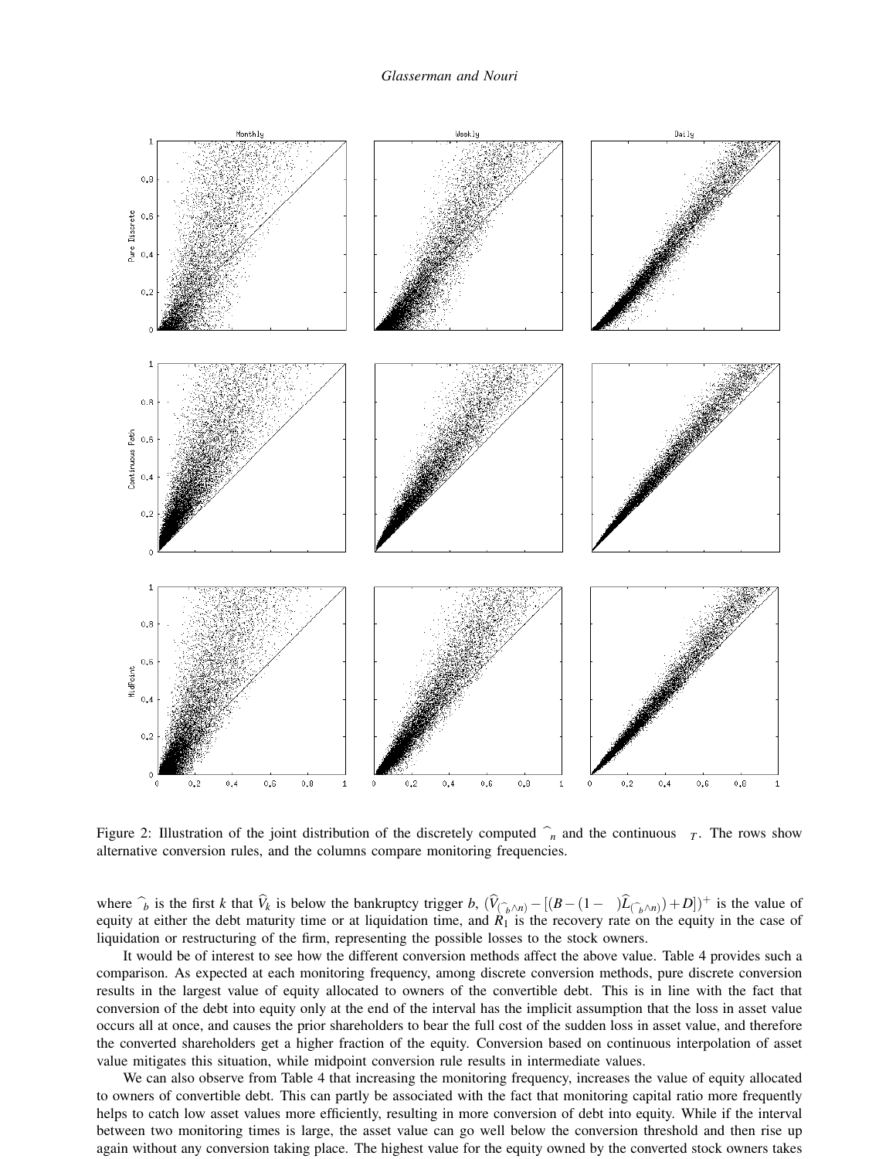

Figure 2: Illustration of the joint distribution of the discretely computed  $\hat{\pi}_n$  and the continuous  $\pi_T$ . The rows show alternative conversion rules, and the columns compare monitoring frequencies.

where  $\hat{\tau}_b$  is the first k that  $\hat{V}_k$  is below the bankruptcy trigger b,  $(\hat{V}_{(\hat{\tau}_b \wedge n)} - [(B - (1 - \alpha)\hat{L}_{(\hat{\tau}_b \wedge n)}) + D])^+$  is the value of equity at either the debt maturity time or at liquidation time, and  $R_1$  is liquidation or restructuring of the firm, representing the possible losses to the stock owners.

It would be of interest to see how the different conversion methods affect the above value. Table 4 provides such a comparison. As expected at each monitoring frequency, among discrete conversion methods, pure discrete conversion results in the largest value of equity allocated to owners of the convertible debt. This is in line with the fact that conversion of the debt into equity only at the end of the interval has the implicit assumption that the loss in asset value occurs all at once, and causes the prior shareholders to bear the full cost of the sudden loss in asset value, and therefore the converted shareholders get a higher fraction of the equity. Conversion based on continuous interpolation of asset value mitigates this situation, while midpoint conversion rule results in intermediate values.

We can also observe from Table 4 that increasing the monitoring frequency, increases the value of equity allocated to owners of convertible debt. This can partly be associated with the fact that monitoring capital ratio more frequently helps to catch low asset values more efficiently, resulting in more conversion of debt into equity. While if the interval between two monitoring times is large, the asset value can go well below the conversion threshold and then rise up again without any conversion taking place. The highest value for the equity owned by the converted stock owners takes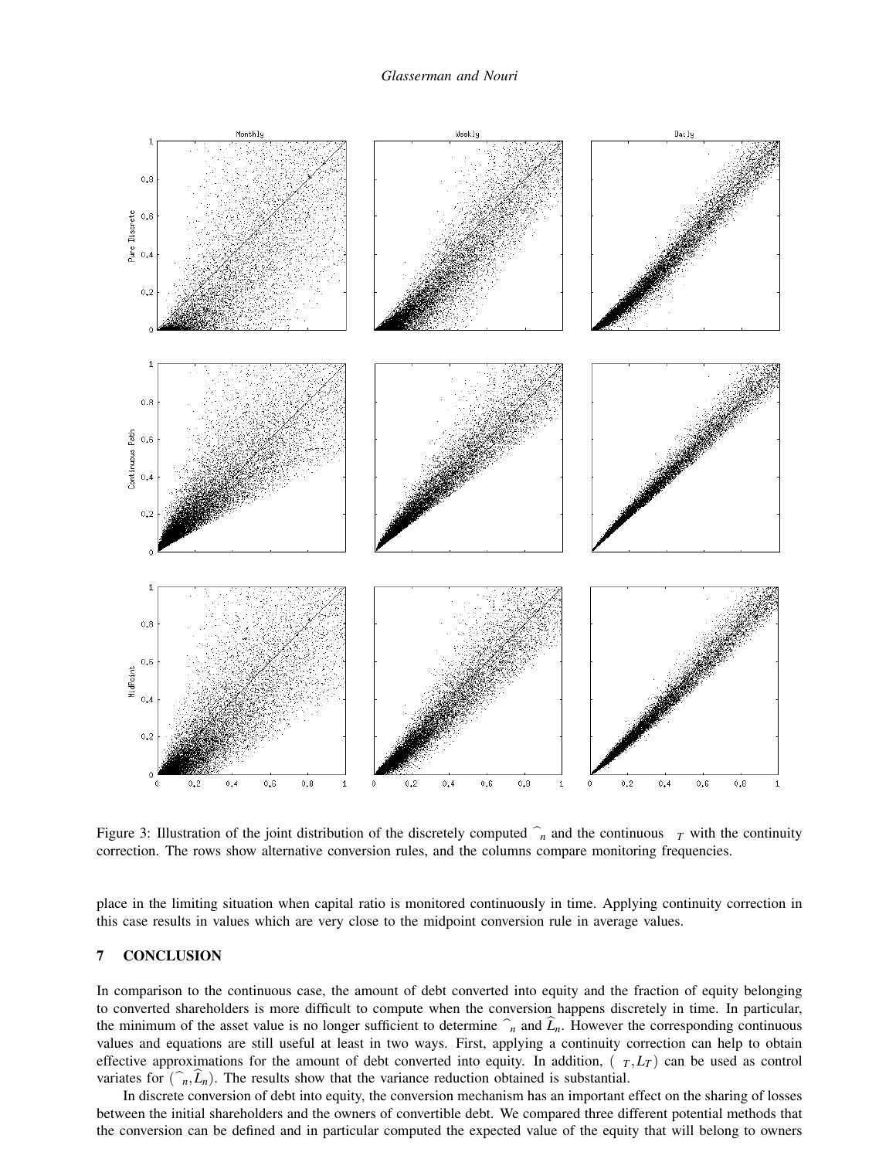

Figure 3: Illustration of the joint distribution of the discretely computed  $\hat{\pi}_n$  and the continuous  $\pi_T$  with the continuity correction. The rows show alternative conversion rules, and the columns compare monitoring frequencies.

place in the limiting situation when capital ratio is monitored continuously in time. Applying continuity correction in this case results in values which are very close to the midpoint conversion rule in average values.

### **7 CONCLUSION**

In comparison to the continuous case, the amount of debt converted into equity and the fraction of equity belonging to converted shareholders is more difficult to compute when the conversion happens discretely in time. In particular, the minimum of the asset value is no longer sufficient to determine  $\hat{\pi}_n$  and  $\hat{L}_n$ . However the corresponding continuous values and equations are still useful at least in two ways. First, applying a continuity correction can help to obtain effective approximations for the amount of debt converted into equity. In addition,  $(\pi_T, L_T)$  can be used as control variates for  $(\widehat{\pi}_n, L_n)$ . The results show that the variance reduction obtained is substantial.

In discrete conversion of debt into equity, the conversion mechanism has an important effect on the sharing of losses between the initial shareholders and the owners of convertible debt. We compared three different potential methods that the conversion can be defined and in particular computed the expected value of the equity that will belong to owners